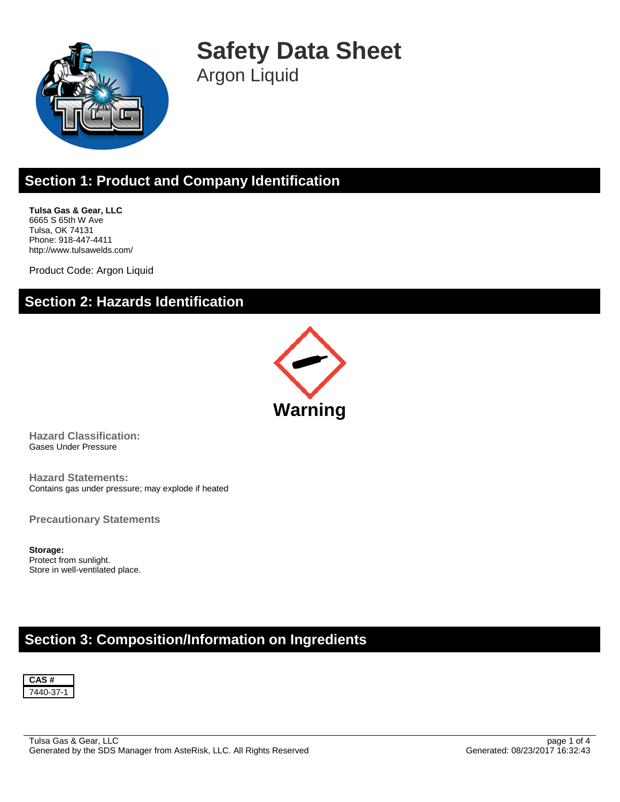

**Safety Data Sheet** Argon Liquid

# **Section 1: Product and Company Identification**

**Tulsa Gas & Gear, LLC** 6665 S 65th W Ave Tulsa, OK 74131 Phone: 918-447-4411 http://www.tulsawelds.com/

Product Code: Argon Liquid

### **Section 2: Hazards Identification**



**Hazard Classification:** Gases Under Pressure

**Hazard Statements:** Contains gas under pressure; may explode if heated

**Precautionary Statements**

**Storage:** Protect from sunlight. Store in well-ventilated place.

## **Section 3: Composition/Information on Ingredients**

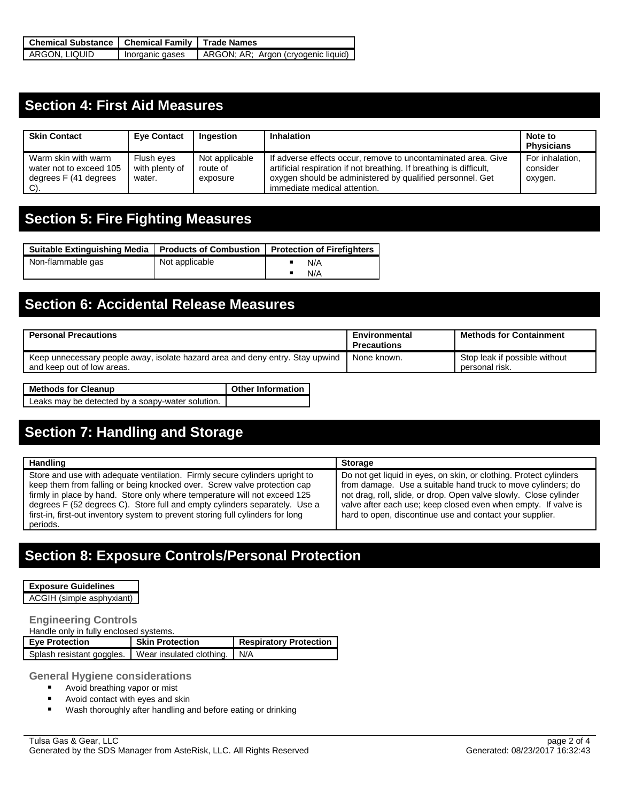| Chemical Substance   Chemical Family   Trade Names |                 |                                     |
|----------------------------------------------------|-----------------|-------------------------------------|
| ARGON, LIQUID                                      | Inorganic gases | ARGON; AR; Argon (cryogenic liquid) |

## **Section 4: First Aid Measures**

| <b>Skin Contact</b>                                                            | <b>Eve Contact</b>                     | Ingestion                              | <b>Inhalation</b>                                                                                                                                                                                                                 | Note to<br><b>Physicians</b>           |
|--------------------------------------------------------------------------------|----------------------------------------|----------------------------------------|-----------------------------------------------------------------------------------------------------------------------------------------------------------------------------------------------------------------------------------|----------------------------------------|
| Warm skin with warm<br>water not to exceed 105<br>degrees F (41 degrees<br>C). | Flush eyes<br>with plenty of<br>water. | Not applicable<br>route of<br>exposure | If adverse effects occur, remove to uncontaminated area. Give<br>artificial respiration if not breathing. If breathing is difficult,<br>oxygen should be administered by qualified personnel. Get<br>immediate medical attention. | For inhalation,<br>consider<br>oxygen. |

## **Section 5: Fire Fighting Measures**

| Suitable Extinguishing Media   Products of Combustion   Protection of Firefighters |                |     |
|------------------------------------------------------------------------------------|----------------|-----|
| Non-flammable gas                                                                  | Not applicable | N/A |
|                                                                                    |                | N/A |

# **Section 6: Accidental Release Measures**

| <b>Personal Precautions</b>                                                                                 | Environmental<br><b>Precautions</b> | <b>Methods for Containment</b>                  |
|-------------------------------------------------------------------------------------------------------------|-------------------------------------|-------------------------------------------------|
| Keep unnecessary people away, isolate hazard area and deny entry. Stay upwind<br>and keep out of low areas. | None known.                         | Stop leak if possible without<br>personal risk. |

| <b>Methods for Cleanup</b>                       | <b>Other Information</b> |
|--------------------------------------------------|--------------------------|
| Leaks may be detected by a soapy-water solution. |                          |

# **Section 7: Handling and Storage**

| Handling                                                                                                                                                                                                                                                                                                                                                                                                          | <b>Storage</b>                                                                                                                                                                                                                                                                                                                        |
|-------------------------------------------------------------------------------------------------------------------------------------------------------------------------------------------------------------------------------------------------------------------------------------------------------------------------------------------------------------------------------------------------------------------|---------------------------------------------------------------------------------------------------------------------------------------------------------------------------------------------------------------------------------------------------------------------------------------------------------------------------------------|
| Store and use with adequate ventilation. Firmly secure cylinders upright to<br>keep them from falling or being knocked over. Screw valve protection cap<br>firmly in place by hand. Store only where temperature will not exceed 125<br>degrees F (52 degrees C). Store full and empty cylinders separately. Use a<br>first-in, first-out inventory system to prevent storing full cylinders for long<br>periods. | Do not get liquid in eyes, on skin, or clothing. Protect cylinders<br>from damage. Use a suitable hand truck to move cylinders; do<br>not drag, roll, slide, or drop. Open valve slowly. Close cylinder<br>valve after each use; keep closed even when empty. If valve is<br>hard to open, discontinue use and contact your supplier. |

## **Section 8: Exposure Controls/Personal Protection**

### **Exposure Guidelines**

ACGIH (simple asphyxiant)

### **Engineering Controls**

Handle only in fully enclosed systems.

| <b>Eye Protection</b>     | <b>Skin Protection</b>       | <b>Respiratory Protection</b> |
|---------------------------|------------------------------|-------------------------------|
| Splash resistant goggles. | Wear insulated clothing. N/A |                               |

**General Hygiene considerations**

- **Avoid breathing vapor or mist**
- Avoid contact with eyes and skin
- Wash thoroughly after handling and before eating or drinking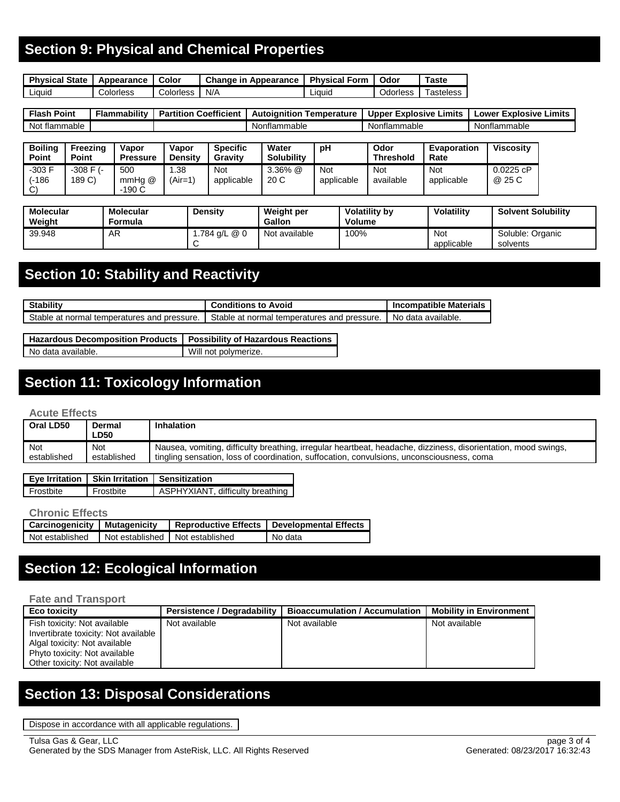## **Section 9: Physical and Chemical Properties**

| <b>Physical State</b> | Appearance | Color     | <b>Change in Appearance</b> I | <b>Physical Form</b> | Odor     | $\sf \tau$ aste |
|-----------------------|------------|-----------|-------------------------------|----------------------|----------|-----------------|
| Liauid                | Colorless  | Colorless | N/A                           | Liauid               | Odorless | 「asteless       |

| <b>Flash</b><br>Point | .<br><b>Flammability</b> | <b>Coefficient</b><br><b>Partition</b> | Autoianitior<br>⊺emperature | Limits<br>Explosive<br><b>Upper</b> | Limits<br><b>Explosive</b><br>_ower |
|-----------------------|--------------------------|----------------------------------------|-----------------------------|-------------------------------------|-------------------------------------|
| Not<br>: flammable    |                          |                                        | Nonflammable                | Nonflammable                        | Nonflammable                        |

| <b>Boiling</b><br><b>Point</b>    | Freezina<br>Point        | Vapor<br><b>Pressure</b> | Vapor<br><b>Density</b> | <b>Specific</b><br>Gravity | Water<br><b>Solubility</b> | рH                | Odor<br><b>Threshold</b> | <b>Evaporation</b><br>Rate | <b>Viscosity</b>   |
|-----------------------------------|--------------------------|--------------------------|-------------------------|----------------------------|----------------------------|-------------------|--------------------------|----------------------------|--------------------|
| $-303 F$<br>(-186<br>$\sim$<br>ات | $-308$ F $(-)$<br>189 C) | 500<br>mmHg @<br>$-190C$ | 1.38<br>(Air=1)         | Not<br>applicable          | $3.36\%$ @<br>20 C         | Not<br>applicable | Not<br>available         | Not<br>applicable          | 0.0225cP<br>@ 25 C |

| <b>Molecular</b><br>Weight | Molecular<br>Formula | Density      | Weight per<br><b>Gallon</b> | <b>Volatility by</b><br><b>Volume</b> | <b>Volatility</b> | <b>Solvent Solubility</b>    |
|----------------------------|----------------------|--------------|-----------------------------|---------------------------------------|-------------------|------------------------------|
| 39.948                     | AR                   | .784 g/L @ 0 | Not available               | 100%                                  | Not<br>applicable | Soluble: Organic<br>solvents |

## **Section 10: Stability and Reactivity**

| <b>Stability</b>                            | <b>Conditions to Avoid</b>                  | <b>Incompatible Materials</b> |
|---------------------------------------------|---------------------------------------------|-------------------------------|
| Stable at normal temperatures and pressure. | Stable at normal temperatures and pressure. | No data available.            |

| Hazardous Decomposition Products   Possibility of Hazardous Reactions |                      |
|-----------------------------------------------------------------------|----------------------|
| No data available.                                                    | Will not polymerize. |

# **Section 11: Toxicology Information**

#### **Acute Effects**

| Oral LD50   | Dermal<br>∟D50 | Inhalation                                                                                                     |
|-------------|----------------|----------------------------------------------------------------------------------------------------------------|
| Not         | Not            | Nausea, vomiting, difficulty breathing, irregular heartbeat, headache, dizziness, disorientation, mood swings, |
| established | established    | tingling sensation, loss of coordination, suffocation, convulsions, unconsciousness, coma                      |

|           | Eye Irritation   Skin Irritation   Sensitization |                                  |
|-----------|--------------------------------------------------|----------------------------------|
| Frostbite | Frostbite                                        | ASPHYXIANT, difficulty breathing |

#### **Chronic Effects**

| <b>Carcinogenicity   Mutagenicity</b> |                                   | Reproductive Effects   Developmental Effects |
|---------------------------------------|-----------------------------------|----------------------------------------------|
| Not established                       | Not established I Not established | No data                                      |

# **Section 12: Ecological Information**

#### **Fate and Transport**

| Eco toxicity                         | Persistence / Degradability | <b>Bioaccumulation / Accumulation</b> | <b>Mobility in Environment</b> |
|--------------------------------------|-----------------------------|---------------------------------------|--------------------------------|
| Fish toxicity: Not available         | Not available               | Not available                         | Not available                  |
| Invertibrate toxicity: Not available |                             |                                       |                                |
| Algal toxicity: Not available        |                             |                                       |                                |
| Phyto toxicity: Not available        |                             |                                       |                                |
| Other toxicity: Not available        |                             |                                       |                                |

# **Section 13: Disposal Considerations**

Dispose in accordance with all applicable regulations.